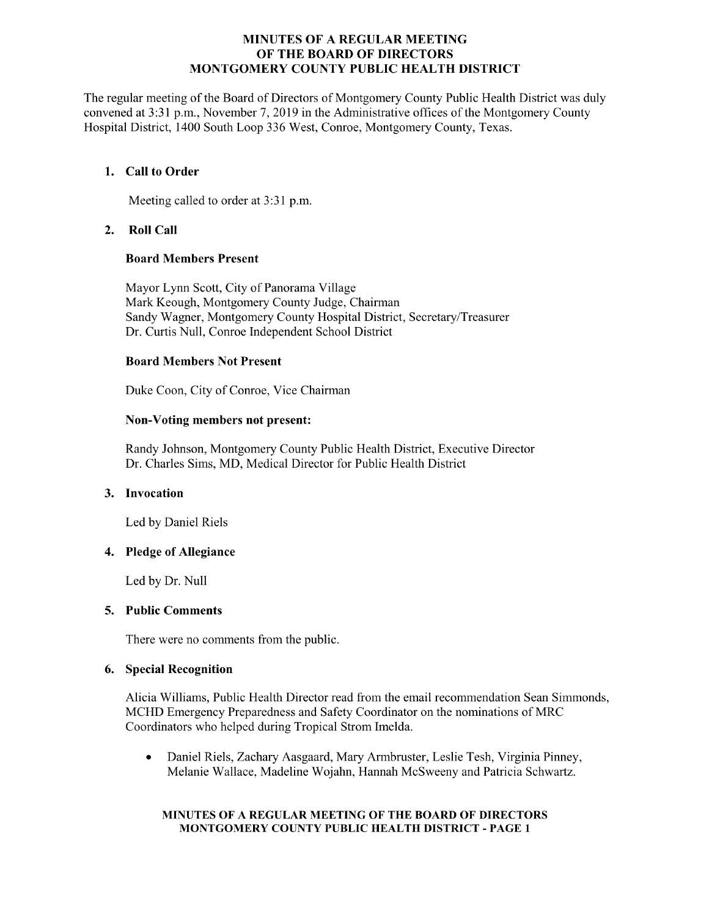## MINUTES OF A REGULAR MEETING OF THE BOARD OF DIRECTORS MONTGOMERY COUNTY PUBLIC HEALTH DISTRICT

The regular meeting of the Board of Directors of Montgomery County Public Health District was duly convened at 3:31 p.m., November 7, 2019 in the Administrative offices of the Montgomery County Hospital District, 1400 South Loop 336 West, Conroe, Montgomery County, Texas.

# 1. Call to Order

Meeting called to order at 3:31 p.m.

# 2. Roll Call

# Board Members Present

Mayor Lynn Scott, City of Panorama Village Mark Keough, Montgomery County Judge, Chairman Sandy Wagner, Montgomery County Hospital District, Secretary/Treasurer Dr. Curtis Null, Conroe Independent School District

# Board Members Not Present

Duke Coon, City of Conroe, Vice Chairman

# Non-Voting members not present:

Randy Johnson, Montgomery County Public Health District, Executive Director Dr. Charles Sims, MD, Medical Director for Public Health District

## 3. Invocation

Led by Daniel Riels

## 4. Pledge of Allegiance

Led by Dr. Null

## 5. Public Comments

There were no comments from the public.

# 6. Special Recognition

Alicia Williams, Public Health Director read from the email recommendation Sean Simmonds, MCHD Emergency Preparedness and Safety Coordinator on the nominations of MRC Coordinators who helped during Tropical Strom Imelda.

Daniel Riels, Zachary Aasgaard, Mary Armbruster, Leslie Tesh, Virginia Pinney,  $\bullet$ Melanie Wallace, Madeline Wojahn, Hannah McSweeny and Patricia Schwartz.

## MINUTES OF A REGULAR MEETING OF THE BOARD OF DIRECTORS MONTGOMERY COUNTY PUBLIC HEALTH DISTRICT - PAGE 1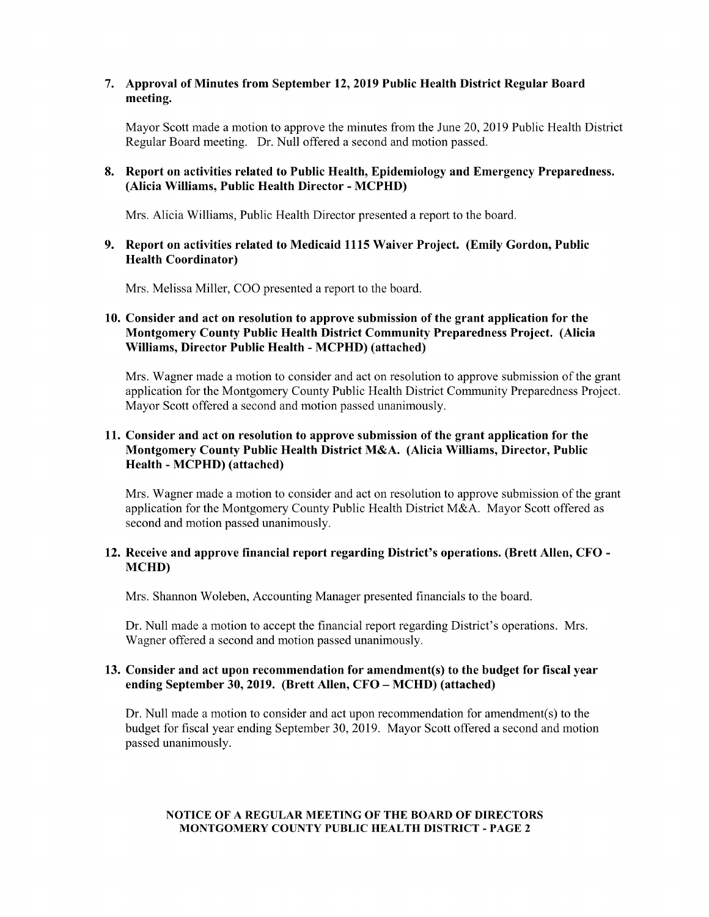## 7. Approval of Minutes from September 12, 2019 Public Health District Regular Board meeting.

Mayor Scott made a motion to approve the minutes from the June 20, 2019 Public Health District Regular Board meeting. Dr. Null offered a second and motion passed.

## 8. Report on activities related to Public Health, Epidemiology and Emergency Preparedness. Alicia Williams, Public Health Director - MCPHD)

Mrs. Alicia Williams, Public Health Director presented a report to the board.

### 9. Report on activities related to Medicaid 1115 Waiver Project. (Emily Gordon, Public Health Coordinator)

Mrs. Melissa Miller, COO presented a report to the board.

# 10. Consider and act on resolution to approve submission of the grant application for the Montgomery County Public Health District Community Preparedness Project. (Alicia Williams, Director Public Health - MCPHD) (attached)

Mrs. Wagner made a motion to consider and act on resolution to approve submission of the grant application for the Montgomery County Public Health District Community Preparedness Project. Mayor Scott offered a second and motion passed unanimously.

# 11. Consider and act on resolution to approve submission of the grant application for the Montgomery County Public Health District M&A. (Alicia Williams, Director, Public Health - MCPHD) (attached)

Mrs. Wagner made a motion to consider and act on resolution to approve submission of the grant application for the Montgomery County Public Health District M&A. Mayor Scott offered as second and motion passed unanimously.

## 12. Receive and approve financial report regarding District's operations. (Brett Allen, CFO - MCHD)

Mrs. Shannon Woleben, Accounting Manager presented financials to the board.

Dr. Null made a motion to accept the financial report regarding District's operations. Mrs. Wagner offered a second and motion passed unanimously.

### 13. Consider and act upon recommendation for amendment(s) to the budget for fiscal year ending September 30, 2019. (Brett Allen, CFO – MCHD) (attached)

Dr. Null made a motion to consider and act upon recommendation for amendment(s) to the budget for fiscal year ending September 30, 2019. Mayor Scott offered a second and motion passed unanimously.

### NOTICE OF A REGULAR MEETING OF THE BOARD OF DIRECTORS MONTGOMERY COUNTY PUBLIC HEALTH DISTRICT - PAGE 2